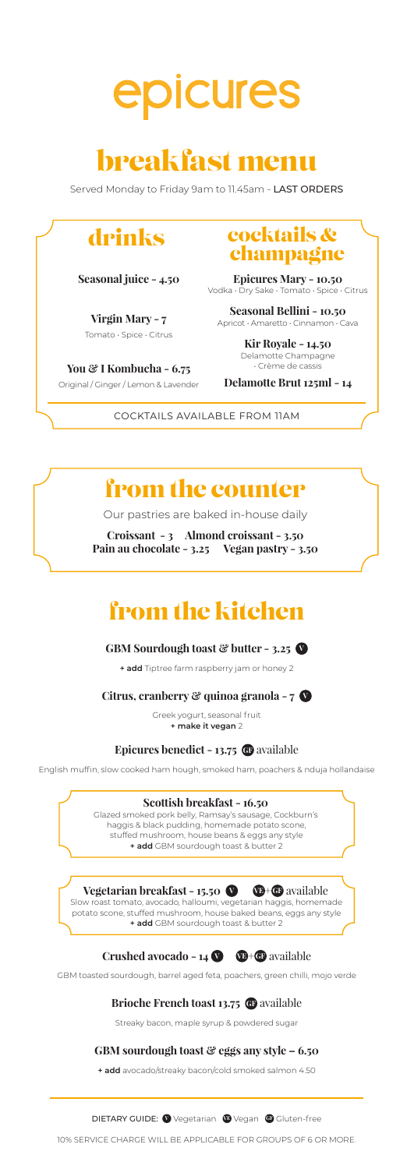

## breakfast menu

Served Monday to Friday 9am to 11.45am - LAST ORDERS

**Seasonal juice - 4.50**

**Virgin Mary - 7** Tomato • Spice • Citrus

**You & I Kombucha - 6.75** Original / Ginger / Lemon & Lavender

### drinks cocktails & champagne

**Epicures Mary - 10.50** Vodka • Dry Sake • Tomato • Spice • Citrus

**Seasonal Bellini - 10.50**<br>ricot · Amaretto · Cinnamon · Cava Apricot · Amaretto · Cinnamon

> **Kir Royale - 14.50** Delamotte Champagne • Crème de cassis

**Delamotte Brut 125ml - 14**

COCKTAILS AVAILABLE FROM 11AM

## from the counter

Our pastries are baked in-house daily

**Croissant - 3 Almond croissant - 3.50 Pain au chocolate - 3.25 Vegan pastry - 3.50**

## from the kitchen

#### **GBM Sourdough toast & butter - 3.25 V**

**+ add** Tiptree farm raspberry jam or honey 2

**Citrus, cranberry & quinoa granola - 7 V**

Greek yogurt, seasonal fruit **+ make it vegan** 2

#### **Epicures benedict - 13.75 G**P available

English muffin, slow cooked ham hough, smoked ham, poachers & nduja hollandaise

#### **Scottish breakfast - 16.50**

Glazed smoked pork belly, Ramsay's sausage, Cockburn's haggis & black pudding, homemade potato scone, stuffed mushroom, house beans & eggs any style **+ add** GBM sourdough toast & butter 2

#### **Vegetarian breakfast - 15.50**  $\bullet$   $\bullet$  +  $\bullet$  available

Slow roast tomato, avocado, halloumi, vegetarian haggis, homemade potato scone, stuffed mushroom, house baked beans, eggs any style **+ add** GBM sourdough toast & butter 2

#### **Crushed avocado - 14 <b>O C**+ **G** available

GBM toasted sourdough, barrel aged feta, poachers, green chilli, mojo verde

#### **Brioche French toast 13.75 G** available

Streaky bacon, maple syrup & powdered sugar

#### **GBM sourdough toast & eggs any style – 6.50**

**+ add** avocado/streaky bacon/cold smoked salmon 4.50

**DIETARY GUIDE: @** Vegetarian @ Vegan @ Gluten-free

10% SERVICE CHARGE WILL BE APPLICABLE FOR GROUPS OF 6 OR MORE.